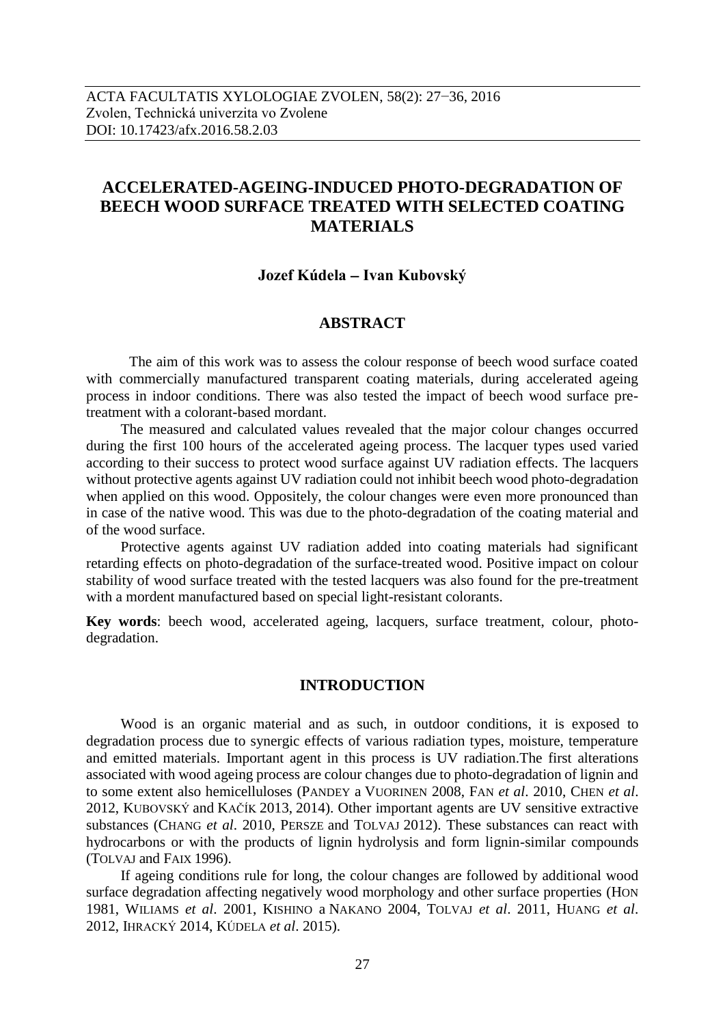# **ACCELERATED-AGEING-INDUCED PHOTO-DEGRADATION OF BEECH WOOD SURFACE TREATED WITH SELECTED COATING MATERIALS**

#### **Jozef Kúdela – Ivan Kubovský**

#### **ABSTRACT**

The aim of this work was to assess the colour response of beech wood surface coated with commercially manufactured transparent coating materials, during accelerated ageing process in indoor conditions. There was also tested the impact of beech wood surface pretreatment with a colorant-based mordant.

The measured and calculated values revealed that the major colour changes occurred during the first 100 hours of the accelerated ageing process. The lacquer types used varied according to their success to protect wood surface against UV radiation effects. The lacquers without protective agents against UV radiation could not inhibit beech wood photo-degradation when applied on this wood. Oppositely, the colour changes were even more pronounced than in case of the native wood. This was due to the photo-degradation of the coating material and of the wood surface.

Protective agents against UV radiation added into coating materials had significant retarding effects on photo-degradation of the surface-treated wood. Positive impact on colour stability of wood surface treated with the tested lacquers was also found for the pre-treatment with a mordent manufactured based on special light-resistant colorants.

**Key words**: beech wood, accelerated ageing, lacquers, surface treatment, colour, photodegradation.

## **INTRODUCTION**

Wood is an organic material and as such, in outdoor conditions, it is exposed to degradation process due to synergic effects of various radiation types, moisture, temperature and emitted materials. Important agent in this process is UV radiation.The first alterations associated with wood ageing process are colour changes due to photo-degradation of lignin and to some extent also hemicelluloses (PANDEY a VUORINEN 2008, FAN *et al*. 2010, CHEN *et al*. 2012, KUBOVSKÝ and KAČÍK 2013, 2014). Other important agents are UV sensitive extractive substances (CHANG *et al*. 2010, PERSZE and TOLVAJ 2012). These substances can react with hydrocarbons or with the products of lignin hydrolysis and form lignin-similar compounds (TOLVAJ and FAIX 1996).

If ageing conditions rule for long, the colour changes are followed by additional wood surface degradation affecting negatively wood morphology and other surface properties (HON 1981, WILIAMS *et al*. 2001, KISHINO a NAKANO 2004, TOLVAJ *et al*. 2011, HUANG *et al*. 2012, IHRACKÝ 2014, KÚDELA *et al*. 2015).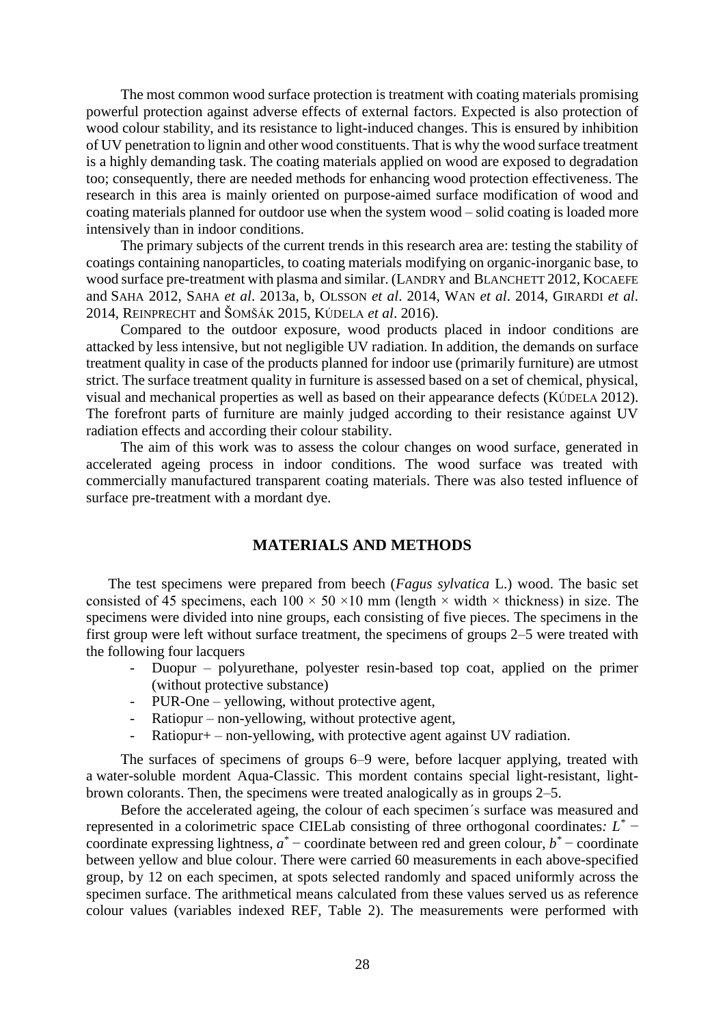The most common wood surface protection is treatment with coating materials promising powerful protection against adverse effects of external factors. Expected is also protection of wood colour stability, and its resistance to light-induced changes. This is ensured by inhibition of UV penetration to lignin and other wood constituents. That is why the wood surface treatment is a highly demanding task. The coating materials applied on wood are exposed to degradation too; consequently, there are needed methods for enhancing wood protection effectiveness. The research in this area is mainly oriented on purpose-aimed surface modification of wood and coating materials planned for outdoor use when the system wood – solid coating is loaded more intensively than in indoor conditions.

The primary subjects of the current trends in this research area are: testing the stability of coatings containing nanoparticles, to coating materials modifying on organic-inorganic base, to wood surface pre-treatment with plasma and similar. (LANDRY and BLANCHETT 2012, KOCAEFE and SAHA 2012, SAHA *et al*. 2013a, b, OLSSON *et al*. 2014, WAN *et al*. 2014, GIRARDI *et al*. 2014, REINPRECHT and ŠOMŠÁK 2015, KÚDELA *et al*. 2016).

Compared to the outdoor exposure, wood products placed in indoor conditions are attacked by less intensive, but not negligible UV radiation. In addition, the demands on surface treatment quality in case of the products planned for indoor use (primarily furniture) are utmost strict. The surface treatment quality in furniture is assessed based on a set of chemical, physical, visual and mechanical properties as well as based on their appearance defects (KÚDELA 2012). The forefront parts of furniture are mainly judged according to their resistance against UV radiation effects and according their colour stability.

The aim of this work was to assess the colour changes on wood surface, generated in accelerated ageing process in indoor conditions. The wood surface was treated with commercially manufactured transparent coating materials. There was also tested influence of surface pre-treatment with a mordant dye.

#### **MATERIALS AND METHODS**

The test specimens were prepared from beech (*Fagus sylvatica* L.) wood. The basic set consisted of 45 specimens, each  $100 \times 50 \times 10$  mm (length  $\times$  width  $\times$  thickness) in size. The specimens were divided into nine groups, each consisting of five pieces. The specimens in the first group were left without surface treatment, the specimens of groups 2–5 were treated with the following four lacquers

- Duopur polyurethane, polyester resin-based top coat, applied on the primer (without protective substance)
- PUR-One yellowing, without protective agent,
- $Ratiopur non-vellowing, without protective agent,$
- $Ratiopur+ non-yellowing, with protective agent against UV radiation.$

The surfaces of specimens of groups 6–9 were, before lacquer applying, treated with a water-soluble mordent Aqua-Classic. This mordent contains special light-resistant, lightbrown colorants. Then, the specimens were treated analogically as in groups 2–5.

Before the accelerated ageing, the colour of each specimen´s surface was measured and represented in a colorimetric space CIELab consisting of three orthogonal coordinates*: L \** − coordinate expressing lightness,  $a^*$  – coordinate between red and green colour,  $b^*$  – coordinate between yellow and blue colour. There were carried 60 measurements in each above-specified group, by 12 on each specimen, at spots selected randomly and spaced uniformly across the specimen surface. The arithmetical means calculated from these values served us as reference colour values (variables indexed REF, Table 2). The measurements were performed with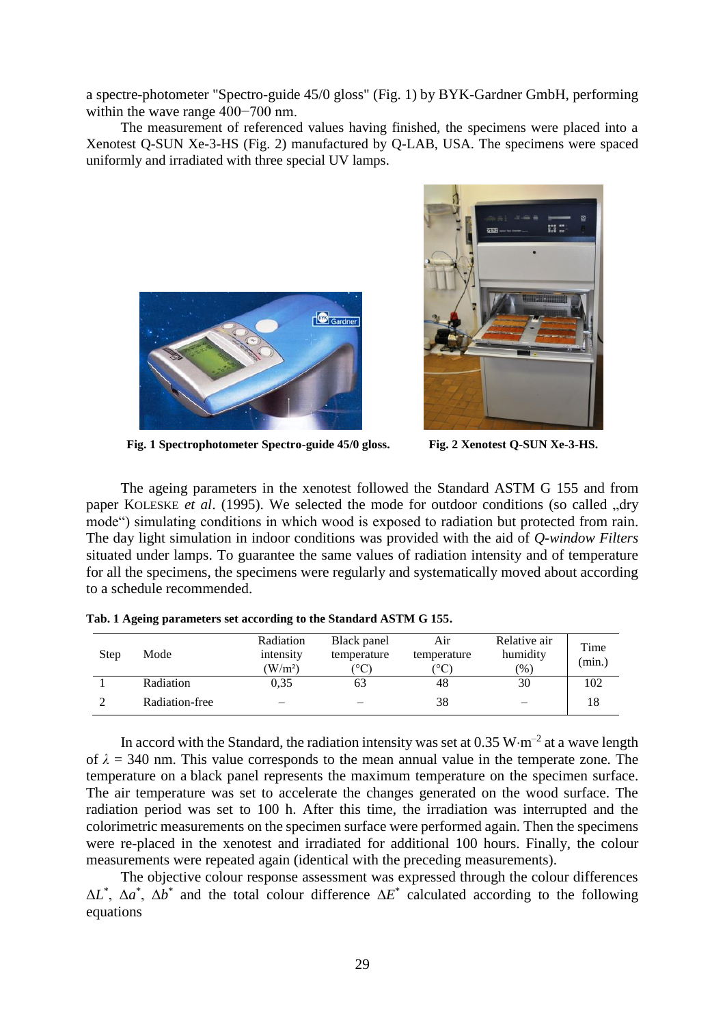a spectre-photometer "Spectro-guide 45/0 gloss" (Fig. 1) by BYK-Gardner GmbH, performing within the wave range 400−700 nm.

The measurement of referenced values having finished, the specimens were placed into a Xenotest Q-SUN Xe-3-HS (Fig. 2) manufactured by Q-LAB, USA. The specimens were spaced uniformly and irradiated with three special UV lamps.





**Fig. 1 Spectrophotometer Spectro-guide 45/0 gloss. Fig. 2 Xenotest Q-SUN Xe-3-HS.**

The ageing parameters in the xenotest followed the Standard ASTM G 155 and from paper KOLESKE *et al.* (1995). We selected the mode for outdoor conditions (so called ..drv mode") simulating conditions in which wood is exposed to radiation but protected from rain. The day light simulation in indoor conditions was provided with the aid of *Q-window Filters*  situated under lamps. To guarantee the same values of radiation intensity and of temperature for all the specimens, the specimens were regularly and systematically moved about according to a schedule recommended.

| Step | Mode           | Radiation<br>intensity<br>(W/m <sup>2</sup> ) | Black panel<br>temperature<br>$^{\circ}\mathrm{C}$ | Air<br>temperature<br>$^\circ{\rm C}$ | Relative air<br>humidity<br>(0/0) | Time<br>(min.) |
|------|----------------|-----------------------------------------------|----------------------------------------------------|---------------------------------------|-----------------------------------|----------------|
|      | Radiation      | 0.35                                          | 63                                                 | 48                                    | 30                                | 102            |
|      | Radiation-free | -                                             |                                                    | 38                                    | –                                 | 18             |

**Tab. 1 Ageing parameters set according to the Standard ASTM G 155.**

In accord with the Standard, the radiation intensity was set at 0.35  $W \cdot m^{-2}$  at a wave length of  $\lambda = 340$  nm. This value corresponds to the mean annual value in the temperate zone. The temperature on a black panel represents the maximum temperature on the specimen surface. The air temperature was set to accelerate the changes generated on the wood surface. The radiation period was set to 100 h. After this time, the irradiation was interrupted and the colorimetric measurements on the specimen surface were performed again. Then the specimens were re-placed in the xenotest and irradiated for additional 100 hours. Finally, the colour measurements were repeated again (identical with the preceding measurements).

The objective colour response assessment was expressed through the colour differences  $\Delta L^*$ ,  $\Delta a^*$ ,  $\Delta b^*$  and the total colour difference  $\Delta E^*$  calculated according to the following equations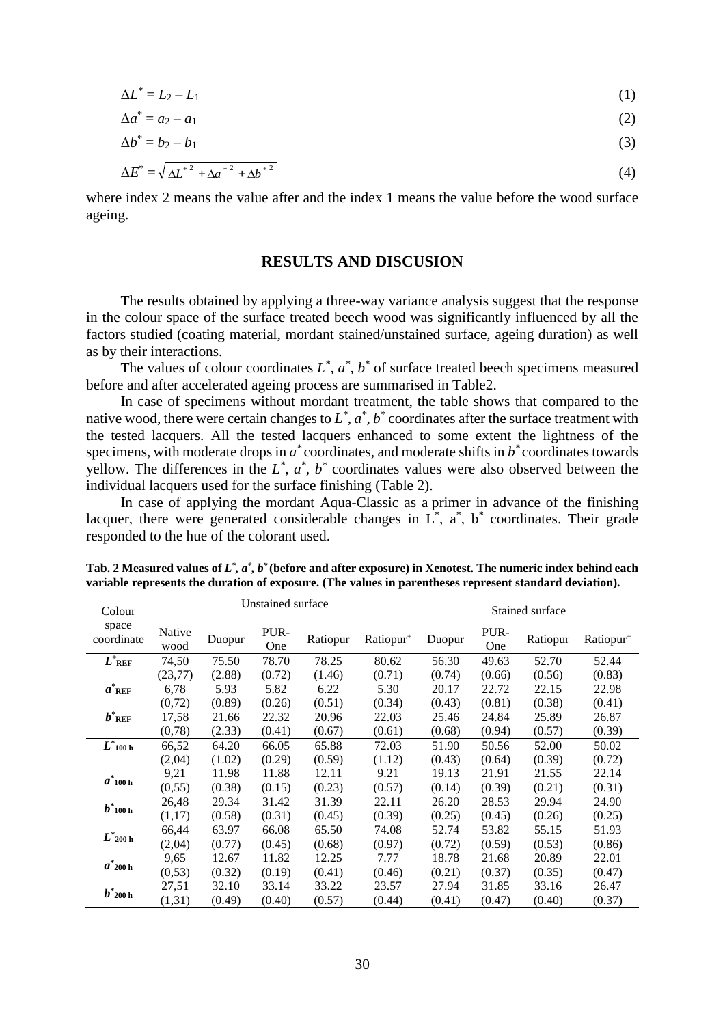$$
\Delta L^* = L_2 - L_1 \tag{1}
$$

$$
\Delta a^* = a_2 - a_1 \tag{2}
$$

$$
\Delta b^* = b_2 - b_1 \tag{3}
$$

$$
\Delta E^* = \sqrt{\Delta L^{*2} + {\Delta a}^{*2} + {\Delta b}^{*2}}
$$
\n(4)

where index 2 means the value after and the index 1 means the value before the wood surface ageing.

#### **RESULTS AND DISCUSION**

The results obtained by applying a three-way variance analysis suggest that the response in the colour space of the surface treated beech wood was significantly influenced by all the factors studied (coating material, mordant stained/unstained surface, ageing duration) as well as by their interactions.

The values of colour coordinates  $L^*$ ,  $a^*$ ,  $b^*$  of surface treated beech specimens measured before and after accelerated ageing process are summarised in Table2.

In case of specimens without mordant treatment, the table shows that compared to the native wood, there were certain changes to  $L^*$ ,  $a^*$ ,  $b^*$  coordinates after the surface treatment with the tested lacquers. All the tested lacquers enhanced to some extent the lightness of the specimens, with moderate drops in  $a^*$  coordinates, and moderate shifts in  $b^*$  coordinates towards yellow. The differences in the  $L^*$ ,  $a^*$ ,  $b^*$  coordinates values were also observed between the individual lacquers used for the surface finishing (Table 2).

In case of applying the mordant Aqua-Classic as a primer in advance of the finishing lacquer, there were generated considerable changes in  $L^*$ ,  $\alpha^*$ ,  $b^*$  coordinates. Their grade responded to the hue of the colorant used.

| Colour              | Unstained surface |        |             |          | Stained surface       |        |             |          |                       |
|---------------------|-------------------|--------|-------------|----------|-----------------------|--------|-------------|----------|-----------------------|
| space<br>coordinate | Native<br>wood    | Duopur | PUR-<br>One | Ratiopur | Ratiopur <sup>+</sup> | Duopur | PUR-<br>One | Ratiopur | Ratiopur <sup>+</sup> |
| $L^*$ ref           | 74,50             | 75.50  | 78.70       | 78.25    | 80.62                 | 56.30  | 49.63       | 52.70    | 52.44                 |
|                     | (23, 77)          | (2.88) | (0.72)      | (1.46)   | (0.71)                | (0.74) | (0.66)      | (0.56)   | (0.83)                |
| $a^*$ ref           | 6,78              | 5.93   | 5.82        | 6.22     | 5.30                  | 20.17  | 22.72       | 22.15    | 22.98                 |
|                     | (0,72)            | (0.89) | (0.26)      | (0.51)   | (0.34)                | (0.43) | (0.81)      | (0.38)   | (0.41)                |
| $b^*$ ref           | 17,58             | 21.66  | 22.32       | 20.96    | 22.03                 | 25.46  | 24.84       | 25.89    | 26.87                 |
|                     | (0,78)            | (2.33) | (0.41)      | (0.67)   | (0.61)                | (0.68) | (0.94)      | (0.57)   | (0.39)                |
| $L^*$ 100 h         | 66,52             | 64.20  | 66.05       | 65.88    | 72.03                 | 51.90  | 50.56       | 52.00    | 50.02                 |
|                     | (2,04)            | (1.02) | (0.29)      | (0.59)   | (1.12)                | (0.43) | (0.64)      | (0.39)   | (0.72)                |
| $a^*$ 100 h         | 9,21              | 11.98  | 11.88       | 12.11    | 9.21                  | 19.13  | 21.91       | 21.55    | 22.14                 |
|                     | (0, 55)           | (0.38) | (0.15)      | (0.23)   | (0.57)                | (0.14) | (0.39)      | (0.21)   | (0.31)                |
| $b^*$ 100 h         | 26,48             | 29.34  | 31.42       | 31.39    | 22.11                 | 26.20  | 28.53       | 29.94    | 24.90                 |
|                     | (1,17)            | (0.58) | (0.31)      | (0.45)   | (0.39)                | (0.25) | (0.45)      | (0.26)   | (0.25)                |
| $L^*$ 200 h         | 66,44             | 63.97  | 66.08       | 65.50    | 74.08                 | 52.74  | 53.82       | 55.15    | 51.93                 |
|                     | (2,04)            | (0.77) | (0.45)      | (0.68)   | (0.97)                | (0.72) | (0.59)      | (0.53)   | (0.86)                |
| $a^*$ 200 h         | 9,65              | 12.67  | 11.82       | 12.25    | 7.77                  | 18.78  | 21.68       | 20.89    | 22.01                 |
|                     | (0,53)            | (0.32) | (0.19)      | (0.41)   | (0.46)                | (0.21) | (0.37)      | (0.35)   | (0.47)                |
| $b^*$ 200 h         | 27,51             | 32.10  | 33.14       | 33.22    | 23.57                 | 27.94  | 31.85       | 33.16    | 26.47                 |
|                     | (1,31)            | (0.49) | (0.40)      | (0.57)   | (0.44)                | (0.41) | (0.47)      | (0.40)   | (0.37)                |

**Tab. 2 Measured values of** *L \* , a\* , b\** **(before and after exposure) in Xenotest. The numeric index behind each variable represents the duration of exposure. (The values in parentheses represent standard deviation).**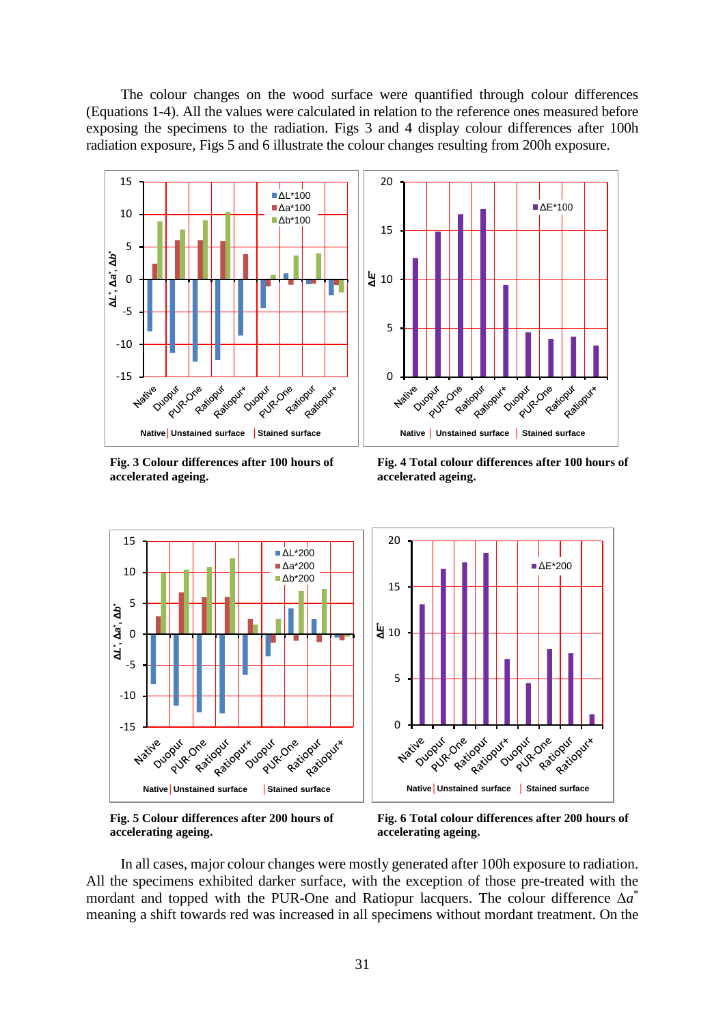The colour changes on the wood surface were quantified through colour differences (Equations 1-4). All the values were calculated in relation to the reference ones measured before exposing the specimens to the radiation. Figs 3 and 4 display colour differences after 100h radiation exposure, Figs 5 and 6 illustrate the colour changes resulting from 200h exposure.



**Fig. 3 Colour differences after 100 hours of accelerated ageing.**

**Fig. 4 Total colour differences after 100 hours of accelerated ageing.**



**Fig. 5 Colour differences after 200 hours of accelerating ageing.**

**Fig. 6 Total colour differences after 200 hours of accelerating ageing.**

In all cases, major colour changes were mostly generated after 100h exposure to radiation. All the specimens exhibited darker surface, with the exception of those pre-treated with the mordant and topped with the PUR-One and Ratiopur lacquers. The colour difference  $\Delta a^*$ meaning a shift towards red was increased in all specimens without mordant treatment. On the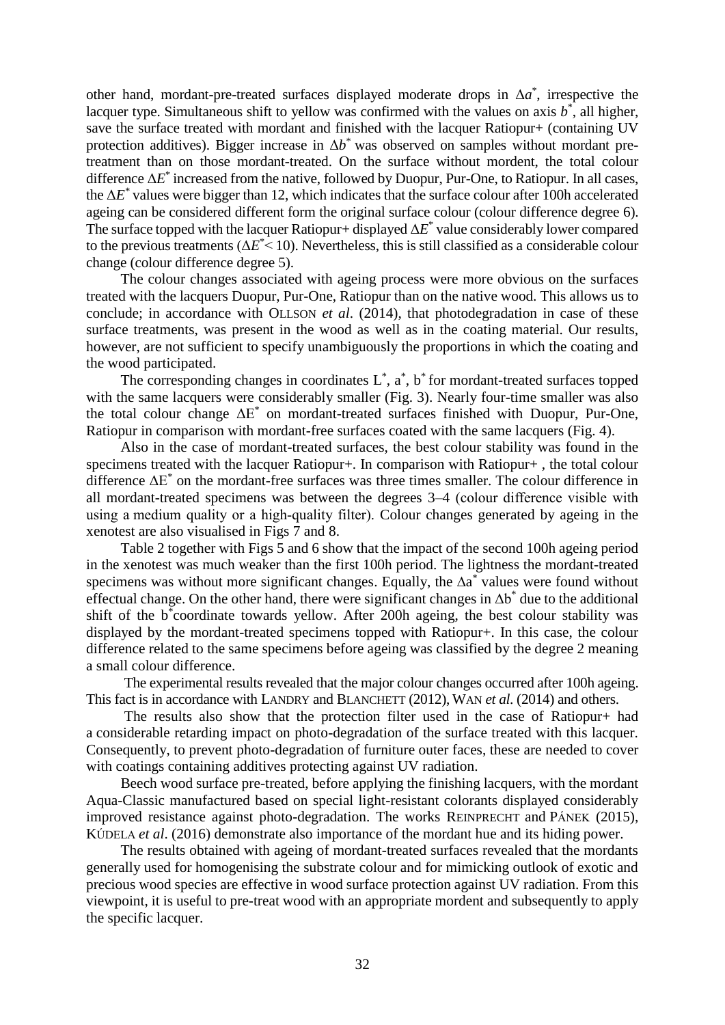other hand, mordant-pre-treated surfaces displayed moderate drops in  $\Delta a^*$ , irrespective the lacquer type. Simultaneous shift to yellow was confirmed with the values on axis  $b^*$ , all higher, save the surface treated with mordant and finished with the lacquer Ratiopur+ (containing UV protection additives). Bigger increase in  $\Delta b^*$  was observed on samples without mordant pretreatment than on those mordant-treated. On the surface without mordent, the total colour difference Δ*E* \* increased from the native, followed by Duopur, Pur-One, to Ratiopur. In all cases, the  $\Delta E^*$  values were bigger than 12, which indicates that the surface colour after 100h accelerated ageing can be considered different form the original surface colour (colour difference degree 6). The surface topped with the lacquer Ratiopur+ displayed  $\Delta E^*$  value considerably lower compared to the previous treatments  $(\Delta E^{\ast} < 10)$ . Nevertheless, this is still classified as a considerable colour change (colour difference degree 5).

The colour changes associated with ageing process were more obvious on the surfaces treated with the lacquers Duopur, Pur-One, Ratiopur than on the native wood. This allows us to conclude; in accordance with OLLSON *et al*. (2014), that photodegradation in case of these surface treatments, was present in the wood as well as in the coating material. Our results, however, are not sufficient to specify unambiguously the proportions in which the coating and the wood participated.

The corresponding changes in coordinates  $L^*$ ,  $\alpha^*$ ,  $b^*$  for mordant-treated surfaces topped with the same lacquers were considerably smaller (Fig. 3). Nearly four-time smaller was also the total colour change  $\Delta E^*$  on mordant-treated surfaces finished with Duopur, Pur-One, Ratiopur in comparison with mordant-free surfaces coated with the same lacquers (Fig. 4).

Also in the case of mordant-treated surfaces, the best colour stability was found in the specimens treated with the lacquer Ratiopur+. In comparison with Ratiopur+ , the total colour difference  $\Delta E^*$  on the mordant-free surfaces was three times smaller. The colour difference in all mordant-treated specimens was between the degrees 3–4 (colour difference visible with using a medium quality or a high-quality filter). Colour changes generated by ageing in the xenotest are also visualised in Figs 7 and 8.

Table 2 together with Figs 5 and 6 show that the impact of the second 100h ageing period in the xenotest was much weaker than the first 100h period. The lightness the mordant-treated specimens was without more significant changes. Equally, the ∆a<sup>\*</sup> values were found without effectual change. On the other hand, there were significant changes in  $\Delta b^*$  due to the additional shift of the b<sup>\*</sup>coordinate towards yellow. After 200h ageing, the best colour stability was displayed by the mordant-treated specimens topped with Ratiopur+. In this case, the colour difference related to the same specimens before ageing was classified by the degree 2 meaning a small colour difference.

The experimental results revealed that the major colour changes occurred after 100h ageing. This fact is in accordance with LANDRY and BLANCHETT (2012), WAN *et al*. (2014) and others.

The results also show that the protection filter used in the case of Ratiopur+ had a considerable retarding impact on photo-degradation of the surface treated with this lacquer. Consequently, to prevent photo-degradation of furniture outer faces, these are needed to cover with coatings containing additives protecting against UV radiation.

Beech wood surface pre-treated, before applying the finishing lacquers, with the mordant Aqua-Classic manufactured based on special light-resistant colorants displayed considerably improved resistance against photo-degradation. The works REINPRECHT and PÁNEK (2015), KÚDELA *et al*. (2016) demonstrate also importance of the mordant hue and its hiding power.

The results obtained with ageing of mordant-treated surfaces revealed that the mordants generally used for homogenising the substrate colour and for mimicking outlook of exotic and precious wood species are effective in wood surface protection against UV radiation. From this viewpoint, it is useful to pre-treat wood with an appropriate mordent and subsequently to apply the specific lacquer.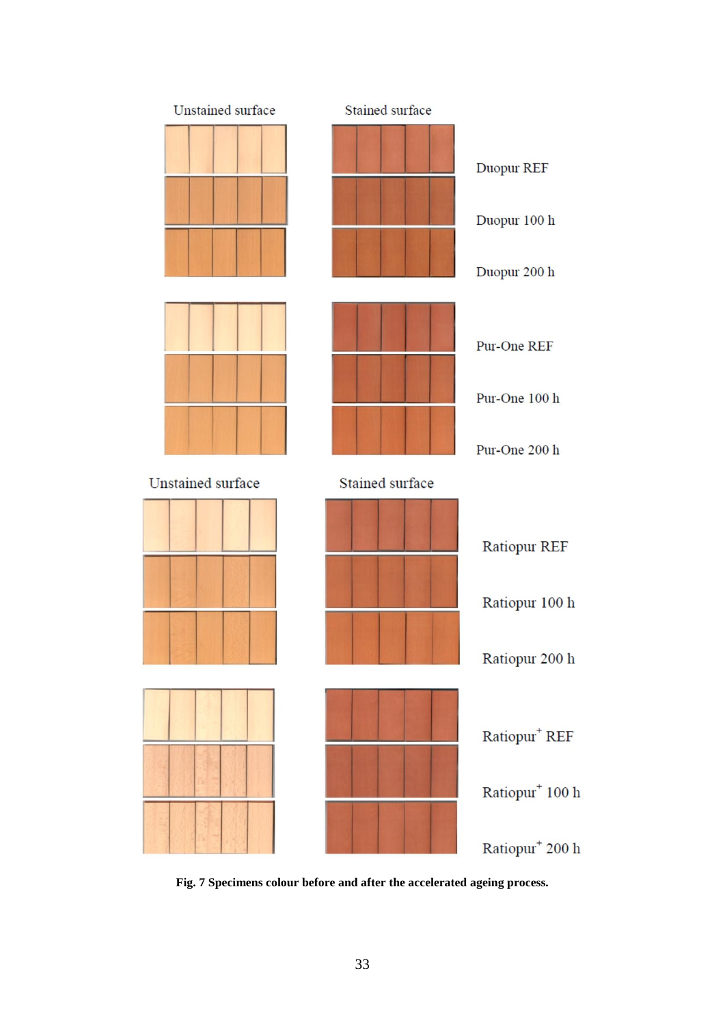

**Fig. 7 Specimens colour before and after the accelerated ageing process.**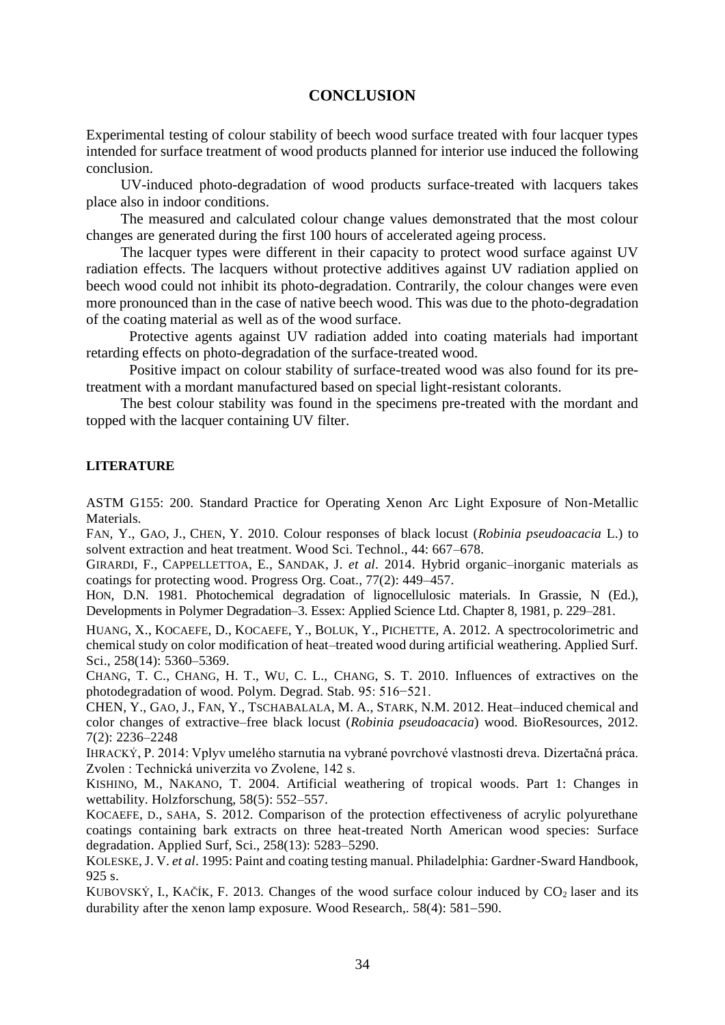## **CONCLUSION**

Experimental testing of colour stability of beech wood surface treated with four lacquer types intended for surface treatment of wood products planned for interior use induced the following conclusion.

UV-induced photo-degradation of wood products surface-treated with lacquers takes place also in indoor conditions.

The measured and calculated colour change values demonstrated that the most colour changes are generated during the first 100 hours of accelerated ageing process.

The lacquer types were different in their capacity to protect wood surface against UV radiation effects. The lacquers without protective additives against UV radiation applied on beech wood could not inhibit its photo-degradation. Contrarily, the colour changes were even more pronounced than in the case of native beech wood. This was due to the photo-degradation of the coating material as well as of the wood surface.

Protective agents against UV radiation added into coating materials had important retarding effects on photo-degradation of the surface-treated wood.

Positive impact on colour stability of surface-treated wood was also found for its pretreatment with a mordant manufactured based on special light-resistant colorants.

The best colour stability was found in the specimens pre-treated with the mordant and topped with the lacquer containing UV filter.

#### **LITERATURE**

ASTM G155: 200. Standard Practice for Operating Xenon Arc Light Exposure of Non-Metallic Materials.

FAN, Y., GAO, J., CHEN, Y. 2010. Colour responses of black locust (*Robinia pseudoacacia* L.) to solvent extraction and heat treatment. Wood Sci. Technol., 44: 667–678.

GIRARDI, F., CAPPELLETTOA, E., SANDAK, J. *et al*. 2014. Hybrid organic–inorganic materials as coatings for protecting wood. Progress Org. Coat., 77(2): 449–457.

HON, D.N. 1981. Photochemical degradation of lignocellulosic materials. In Grassie, N (Ed.), Developments in Polymer Degradation–3. Essex: Applied Science Ltd. Chapter 8, 1981, p. 229–281.

HUANG, X., KOCAEFE, D., KOCAEFE, Y., BOLUK, Y., PICHETTE, A. 2012. A spectrocolorimetric and chemical study on color modification of heat–treated wood during artificial weathering. Applied Surf. Sci., 258(14): 5360–5369.

CHANG, T. C., CHANG, H. T., WU, C. L., CHANG, S. T. 2010. Influences of extractives on the photodegradation of wood. Polym. Degrad. Stab*.* 95: 516−521.

CHEN, Y., GAO, J., FAN, Y., TSCHABALALA, M. A., STARK, N.M. 2012. Heat–induced chemical and color changes of extractive–free black locust (*Robinia pseudoacacia*) wood. BioResources, 2012. 7(2): 2236–2248

IHRACKÝ, P. 2014: Vplyv umelého starnutia na vybrané povrchové vlastnosti dreva. Dizertačná práca. Zvolen : Technická univerzita vo Zvolene, 142 s.

KISHINO, M., NAKANO, T. 2004. Artificial weathering of tropical woods. Part 1: Changes in wettability. Holzforschung, 58(5): 552–557.

KOCAEFE, D., SAHA, S. 2012. Comparison of the protection effectiveness of acrylic polyurethane coatings containing bark extracts on three heat-treated North American wood species: Surface degradation. Applied Surf, Sci., 258(13): 5283–5290.

KOLESKE, J. V. *et al*. 1995: Paint and coating testing manual. Philadelphia: Gardner-Sward Handbook, 925 s.

KUBOVSKÝ, I., KAČÍK, F. 2013. Changes of the wood surface colour induced by  $CO<sub>2</sub>$  laser and its durability after the xenon lamp exposure. Wood Research, 58(4): 581–590.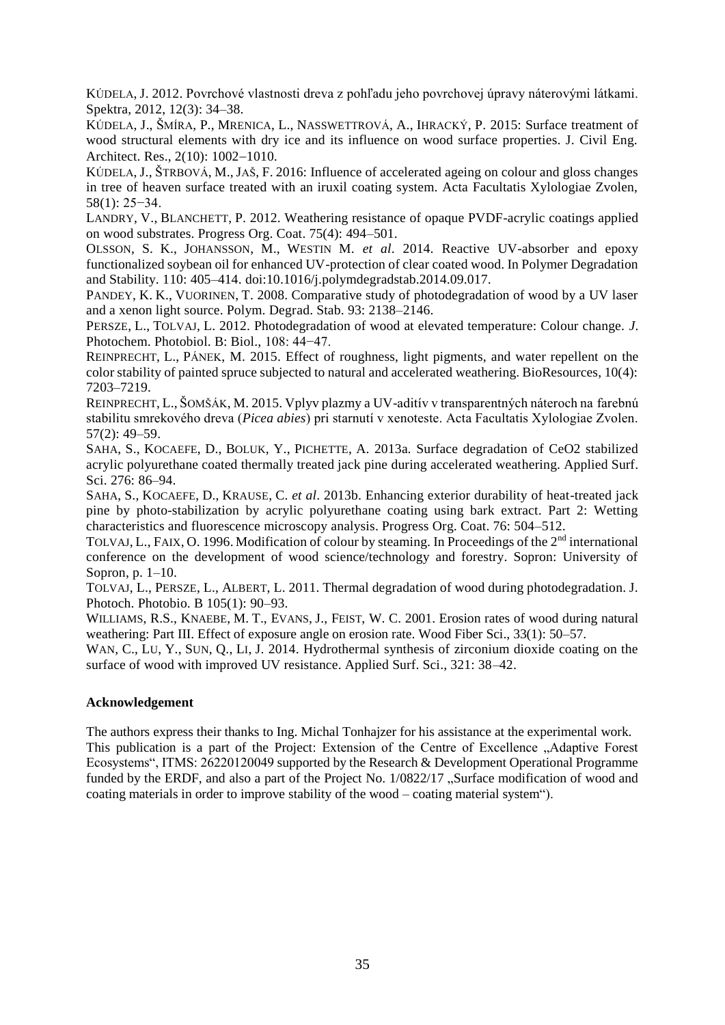KÚDELA, J. 2012. Povrchové vlastnosti dreva z pohľadu jeho povrchovej úpravy náterovými látkami. Spektra, 2012, 12(3): 34–38.

KÚDELA, J., ŠMÍRA, P., MRENICA, L., NASSWETTROVÁ, A., IHRACKÝ, P. 2015: Surface treatment of wood structural elements with dry ice and its influence on wood surface properties. J. Civil Eng. Architect. Res., 2(10): 1002-1010.

KÚDELA, J., ŠTRBOVÁ, M., JAŠ, F. 2016: Influence of accelerated ageing on colour and gloss changes in tree of heaven surface treated with an iruxil coating system. Acta Facultatis Xylologiae Zvolen, 58(1): 25−34.

LANDRY, V., BLANCHETT, P. 2012. Weathering resistance of opaque PVDF-acrylic coatings applied on wood substrates. Progress Org. Coat. 75(4): 494–501.

OLSSON, S. K., JOHANSSON, M., WESTIN M. *et al*. 2014. Reactive UV-absorber and epoxy functionalized soybean oil for enhanced UV-protection of clear coated wood. In Polymer Degradation and Stability. 110: 405–414. doi:10.1016/j.polymdegradstab.2014.09.017.

PANDEY, K. K., VUORINEN, T. 2008. Comparative study of photodegradation of wood by a UV laser and a xenon light source. Polym. Degrad. Stab. 93: 2138–2146.

PERSZE, L., TOLVAJ, L. 2012. Photodegradation of wood at elevated temperature: Colour change. *J*. Photochem. Photobiol. B: Biol., 108: 44−47.

REINPRECHT, L., PÁNEK, M. 2015. Effect of roughness, light pigments, and water repellent on the color stability of painted spruce subjected to natural and accelerated weathering. BioResources, 10(4): 7203–7219.

REINPRECHT, L., ŠOMŠÁK, M. 2015. Vplyv plazmy a UV-aditív v transparentných náteroch na farebnú stabilitu smrekového dreva (*Picea abies*) pri starnutí v xenoteste. Acta Facultatis Xylologiae Zvolen. 57(2): 49–59.

SAHA, S., KOCAEFE, D., BOLUK, Y., PICHETTE, A. 2013a. Surface degradation of CeO2 stabilized acrylic polyurethane coated thermally treated jack pine during accelerated weathering. Applied Surf. Sci. 276: 86–94.

SAHA, S., KOCAEFE, D., KRAUSE, C. *et al*. 2013b. Enhancing exterior durability of heat-treated jack pine by photo-stabilization by acrylic polyurethane coating using bark extract. Part 2: Wetting characteristics and fluorescence microscopy analysis. Progress Org. Coat. 76: 504–512.

TOLVAJ, L., FAIX, O. 1996. Modification of colour by steaming. In Proceedings of the 2<sup>nd</sup> international conference on the development of wood science/technology and forestry. Sopron: University of Sopron, p. 1–10.

TOLVAJ, L., PERSZE, L., ALBERT, L. 2011. Thermal degradation of wood during photodegradation. J. Photoch. Photobio. B 105(1): 90–93.

WILLIAMS, R.S., KNAEBE, M. T., EVANS, J., FEIST, W. C. 2001. Erosion rates of wood during natural weathering: Part III. Effect of exposure angle on erosion rate. Wood Fiber Sci., 33(1): 50–57.

WAN, C., LU, Y., SUN, Q., LI, J. 2014. Hydrothermal synthesis of zirconium dioxide coating on the surface of wood with improved UV resistance. Applied Surf. Sci., 321: 38–42.

#### **Acknowledgement**

The authors express their thanks to Ing. Michal Tonhajzer for his assistance at the experimental work. This publication is a part of the Project: Extension of the Centre of Excellence "Adaptive Forest" Ecosystems", ITMS: 26220120049 supported by the Research & Development Operational Programme funded by the ERDF, and also a part of the Project No. 1/0822/17 "Surface modification of wood and coating materials in order to improve stability of the wood – coating material system").